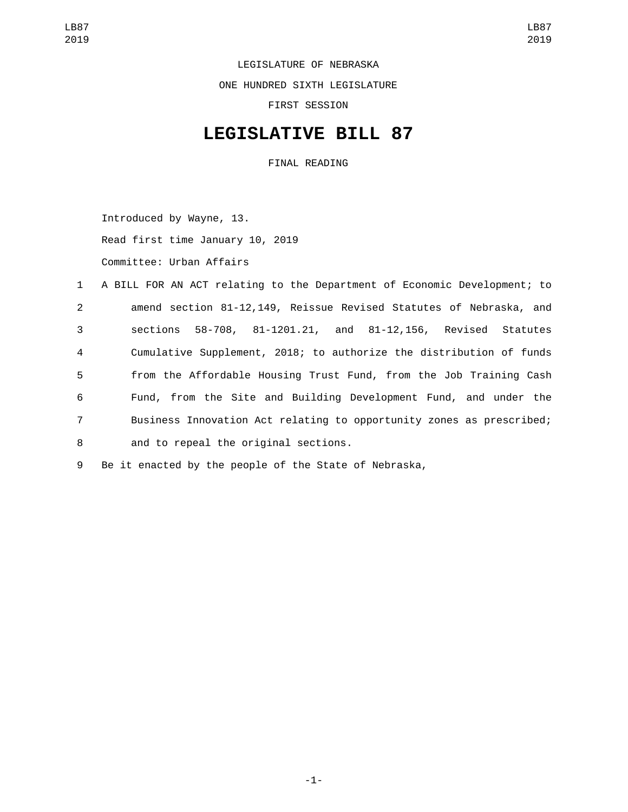LEGISLATURE OF NEBRASKA

ONE HUNDRED SIXTH LEGISLATURE

FIRST SESSION

## **LEGISLATIVE BILL 87**

FINAL READING

Introduced by Wayne, 13. Read first time January 10, 2019

Committee: Urban Affairs

 A BILL FOR AN ACT relating to the Department of Economic Development; to amend section 81-12,149, Reissue Revised Statutes of Nebraska, and sections 58-708, 81-1201.21, and 81-12,156, Revised Statutes Cumulative Supplement, 2018; to authorize the distribution of funds from the Affordable Housing Trust Fund, from the Job Training Cash Fund, from the Site and Building Development Fund, and under the Business Innovation Act relating to opportunity zones as prescribed; 8 and to repeal the original sections.

9 Be it enacted by the people of the State of Nebraska,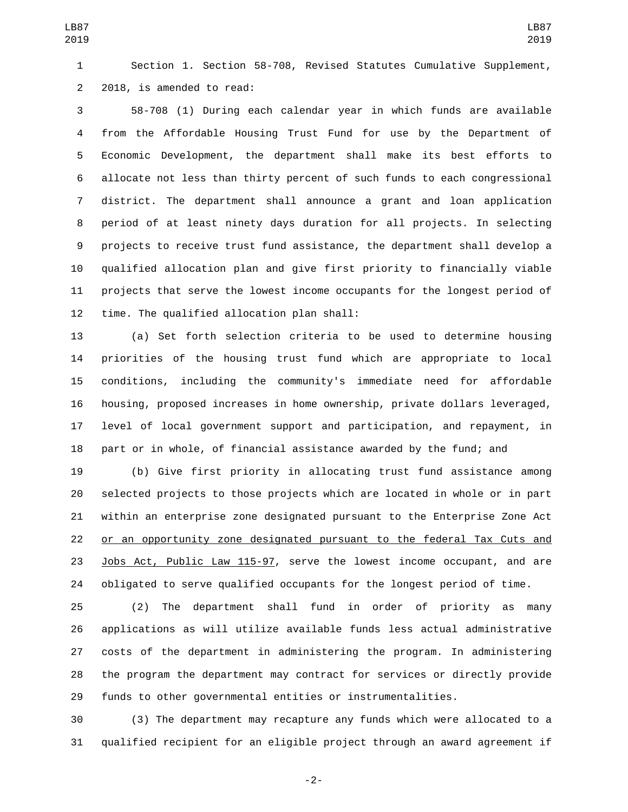Section 1. Section 58-708, Revised Statutes Cumulative Supplement, 2 2018, is amended to read:

 58-708 (1) During each calendar year in which funds are available from the Affordable Housing Trust Fund for use by the Department of Economic Development, the department shall make its best efforts to allocate not less than thirty percent of such funds to each congressional district. The department shall announce a grant and loan application period of at least ninety days duration for all projects. In selecting projects to receive trust fund assistance, the department shall develop a qualified allocation plan and give first priority to financially viable projects that serve the lowest income occupants for the longest period of 12 time. The qualified allocation plan shall:

 (a) Set forth selection criteria to be used to determine housing priorities of the housing trust fund which are appropriate to local conditions, including the community's immediate need for affordable housing, proposed increases in home ownership, private dollars leveraged, level of local government support and participation, and repayment, in part or in whole, of financial assistance awarded by the fund; and

 (b) Give first priority in allocating trust fund assistance among selected projects to those projects which are located in whole or in part within an enterprise zone designated pursuant to the Enterprise Zone Act or an opportunity zone designated pursuant to the federal Tax Cuts and Jobs Act, Public Law 115-97, serve the lowest income occupant, and are obligated to serve qualified occupants for the longest period of time.

 (2) The department shall fund in order of priority as many applications as will utilize available funds less actual administrative costs of the department in administering the program. In administering the program the department may contract for services or directly provide funds to other governmental entities or instrumentalities.

 (3) The department may recapture any funds which were allocated to a qualified recipient for an eligible project through an award agreement if

-2-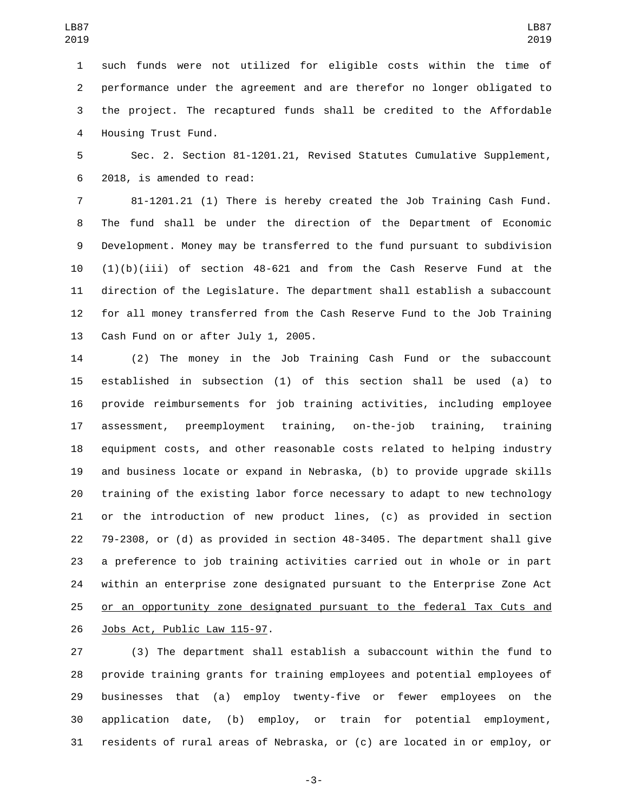such funds were not utilized for eligible costs within the time of performance under the agreement and are therefor no longer obligated to the project. The recaptured funds shall be credited to the Affordable 4 Housing Trust Fund.

 Sec. 2. Section 81-1201.21, Revised Statutes Cumulative Supplement, 2018, is amended to read:6

 81-1201.21 (1) There is hereby created the Job Training Cash Fund. The fund shall be under the direction of the Department of Economic Development. Money may be transferred to the fund pursuant to subdivision (1)(b)(iii) of section 48-621 and from the Cash Reserve Fund at the direction of the Legislature. The department shall establish a subaccount for all money transferred from the Cash Reserve Fund to the Job Training 13 Cash Fund on or after July 1, 2005.

 (2) The money in the Job Training Cash Fund or the subaccount established in subsection (1) of this section shall be used (a) to provide reimbursements for job training activities, including employee assessment, preemployment training, on-the-job training, training equipment costs, and other reasonable costs related to helping industry and business locate or expand in Nebraska, (b) to provide upgrade skills training of the existing labor force necessary to adapt to new technology or the introduction of new product lines, (c) as provided in section 79-2308, or (d) as provided in section 48-3405. The department shall give a preference to job training activities carried out in whole or in part within an enterprise zone designated pursuant to the Enterprise Zone Act or an opportunity zone designated pursuant to the federal Tax Cuts and 26 Jobs Act, Public Law 115-97.

 (3) The department shall establish a subaccount within the fund to provide training grants for training employees and potential employees of businesses that (a) employ twenty-five or fewer employees on the application date, (b) employ, or train for potential employment, residents of rural areas of Nebraska, or (c) are located in or employ, or

-3-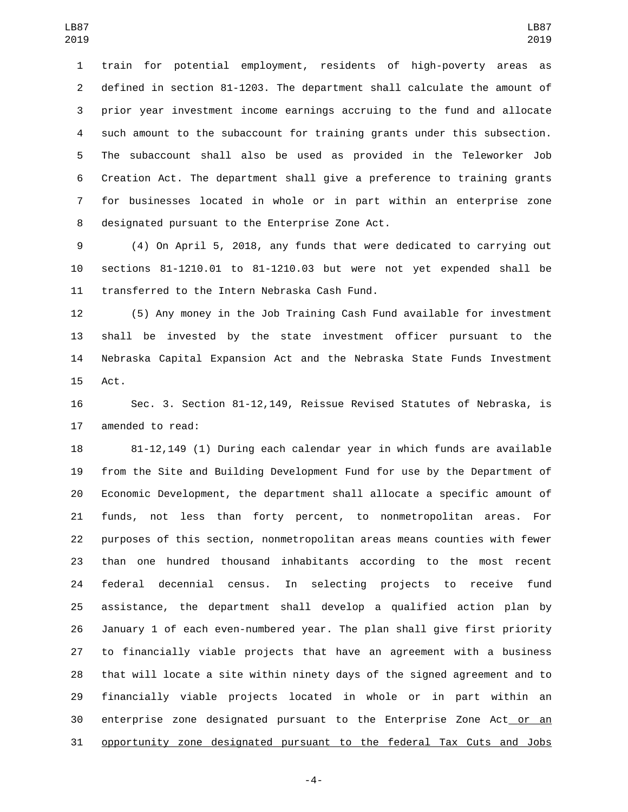train for potential employment, residents of high-poverty areas as defined in section 81-1203. The department shall calculate the amount of prior year investment income earnings accruing to the fund and allocate such amount to the subaccount for training grants under this subsection. The subaccount shall also be used as provided in the Teleworker Job Creation Act. The department shall give a preference to training grants for businesses located in whole or in part within an enterprise zone 8 designated pursuant to the Enterprise Zone Act.

 (4) On April 5, 2018, any funds that were dedicated to carrying out sections 81-1210.01 to 81-1210.03 but were not yet expended shall be 11 transferred to the Intern Nebraska Cash Fund.

 (5) Any money in the Job Training Cash Fund available for investment shall be invested by the state investment officer pursuant to the Nebraska Capital Expansion Act and the Nebraska State Funds Investment 15 Act.

 Sec. 3. Section 81-12,149, Reissue Revised Statutes of Nebraska, is 17 amended to read:

 81-12,149 (1) During each calendar year in which funds are available from the Site and Building Development Fund for use by the Department of Economic Development, the department shall allocate a specific amount of funds, not less than forty percent, to nonmetropolitan areas. For purposes of this section, nonmetropolitan areas means counties with fewer than one hundred thousand inhabitants according to the most recent federal decennial census. In selecting projects to receive fund assistance, the department shall develop a qualified action plan by January 1 of each even-numbered year. The plan shall give first priority to financially viable projects that have an agreement with a business that will locate a site within ninety days of the signed agreement and to financially viable projects located in whole or in part within an 30 enterprise zone designated pursuant to the Enterprise Zone Act or an opportunity zone designated pursuant to the federal Tax Cuts and Jobs

-4-